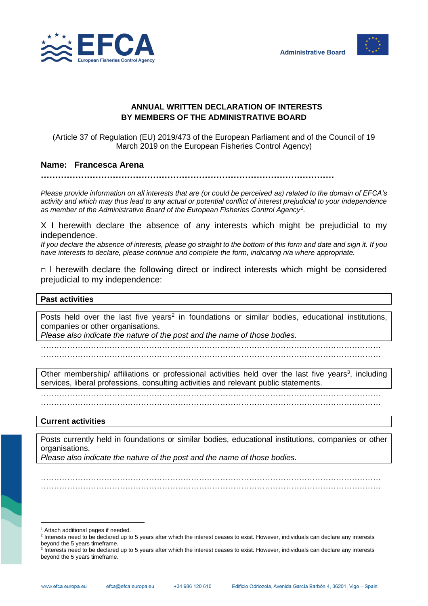



## **ANNUAL WRITTEN DECLARATION OF INTERESTS BY MEMBERS OF THE ADMINISTRATIVE BOARD**

(Article 37 of Regulation (EU) 2019/473 of the European Parliament and of the Council of 19 March 2019 on the European Fisheries Control Agency)

## **Name: Francesca Arena**

**…………………………………………………………………………………………**

*Please provide information on all interests that are (or could be perceived as) related to the domain of EFCA's activity and which may thus lead to any actual or potential conflict of interest prejudicial to your independence as member of the Administrative Board of the European Fisheries Control Agency<sup>1</sup> .*

X I herewith declare the absence of any interests which might be prejudicial to my independence.

*If you declare the absence of interests, please go straight to the bottom of this form and date and sign it. If you have interests to declare, please continue and complete the form, indicating n/a where appropriate.*

 $\Box$  I herewith declare the following direct or indirect interests which might be considered prejudicial to my independence:

## **Past activities**

Posts held over the last five years<sup>2</sup> in foundations or similar bodies, educational institutions, companies or other organisations.

*Please also indicate the nature of the post and the name of those bodies.*

…………………………………………………………………………………………………………………

…………………………………………………………………………………………………………………

Other membership/ affiliations or professional activities held over the last five years<sup>3</sup>, including services, liberal professions, consulting activities and relevant public statements.

………………………………………………………………………………………………………………… …………………………………………………………………………………………………………………

**Current activities**

Posts currently held in foundations or similar bodies, educational institutions, companies or other organisations.

………………………………………………………………………………………………………………… …………………………………………………………………………………………………………………

*Please also indicate the nature of the post and the name of those bodies.*

l <sup>1</sup> Attach additional pages if needed.

<sup>&</sup>lt;sup>2</sup> Interests need to be declared up to 5 years after which the interest ceases to exist. However, individuals can declare any interests beyond the 5 years timeframe.

<sup>&</sup>lt;sup>3</sup> Interests need to be declared up to 5 years after which the interest ceases to exist. However, individuals can declare any interests beyond the 5 years timeframe.